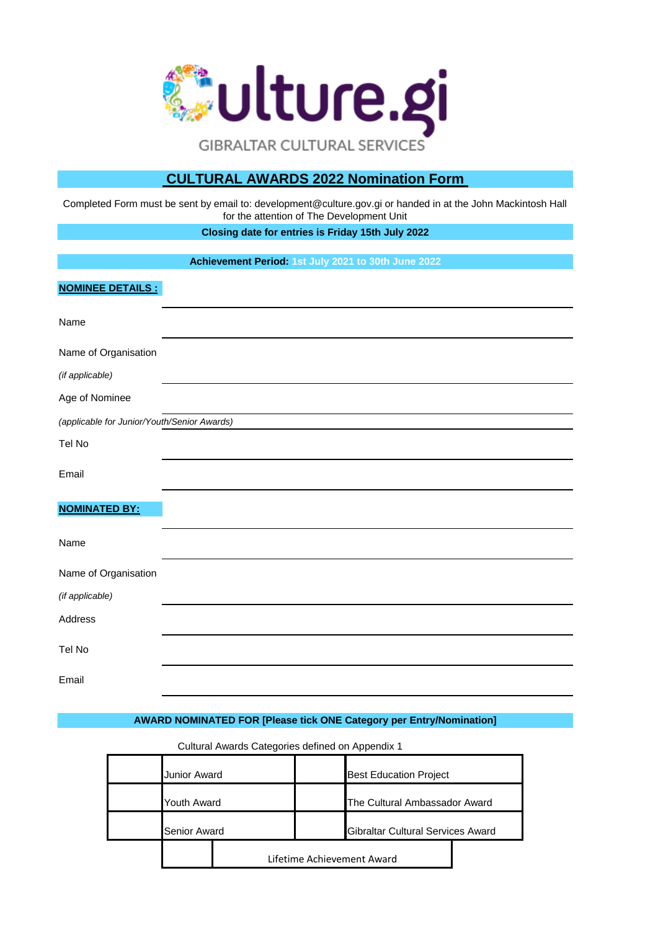

# **CULTURAL AWARDS 2022 Nomination Form**

Completed Form must be sent by email to: development@culture.gov.gi or handed in at the John Mackintosh Hall for the attention of The Development Unit

**Closing date for entries is Friday 15th July 2022**

**Achievement Period: 1st July 2021 to 30th June 2022**

### **NOMINEE DETAILS :**

| Name                                        |  |
|---------------------------------------------|--|
| Name of Organisation                        |  |
| (if applicable)                             |  |
| Age of Nominee                              |  |
| (applicable for Junior/Youth/Senior Awards) |  |
| Tel No                                      |  |
| Email                                       |  |
| <b>NOMINATED BY:</b>                        |  |
| Name                                        |  |
| Name of Organisation                        |  |
| (if applicable)                             |  |
| Address                                     |  |
| Tel No                                      |  |
| Email                                       |  |

# **AWARD NOMINATED FOR [Please tick ONE Category per Entry/Nomination]**

Best Education Project The Cultural Ambassador Award Gibraltar Cultural Services Award Junior Award Youth Award Senior Award Lifetime Achievement Award

Cultural Awards Categories defined on Appendix 1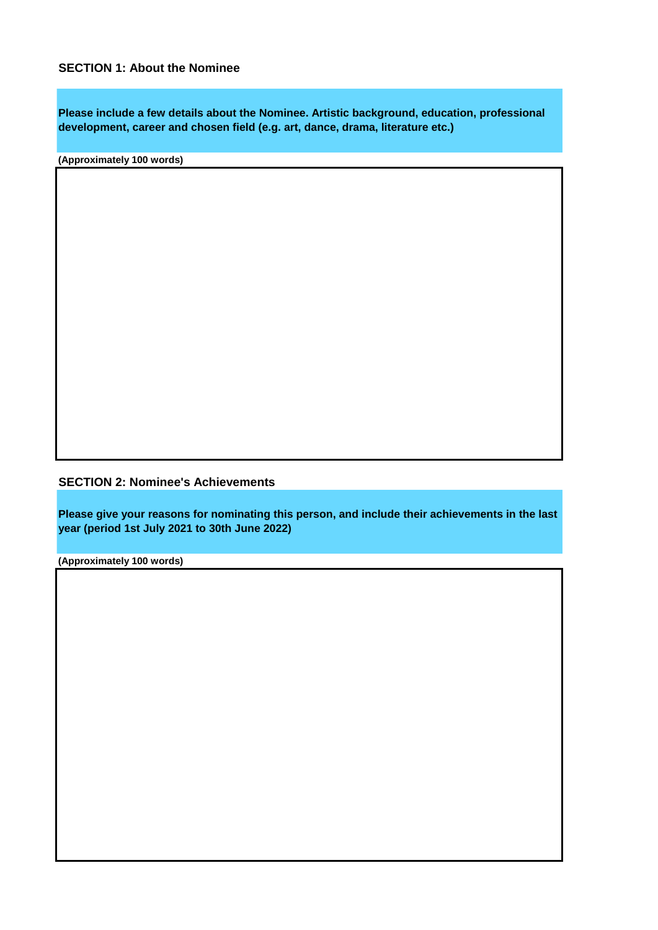**Please include a few details about the Nominee. Artistic background, education, professional development, career and chosen field (e.g. art, dance, drama, literature etc.)**

**(Approximately 100 words)**

**SECTION 2: Nominee's Achievements**

**Please give your reasons for nominating this person, and include their achievements in the last year (period 1st July 2021 to 30th June 2022)**

**(Approximately 100 words)**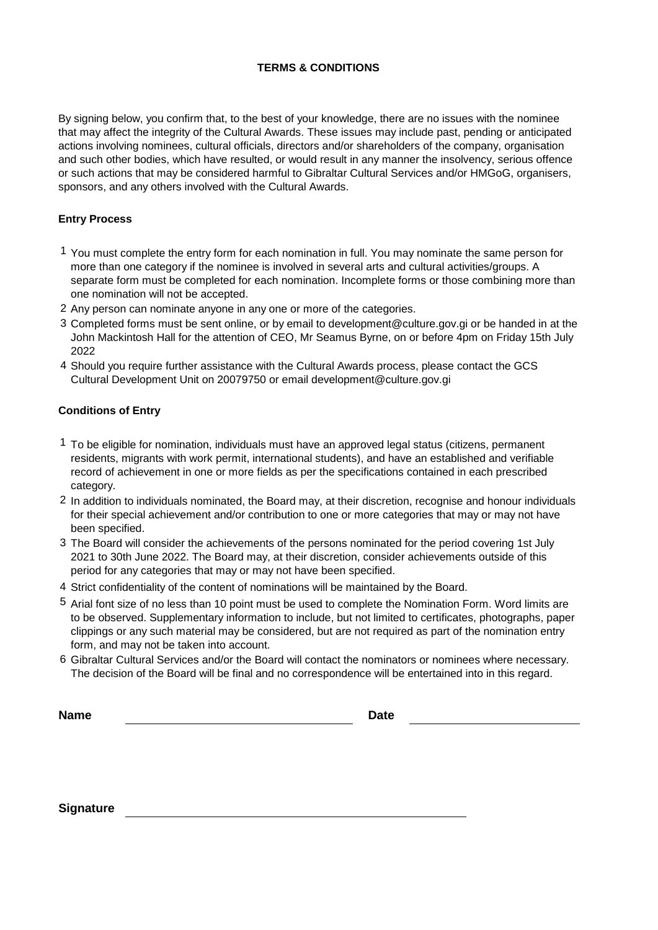## **TERMS & CONDITIONS**

By signing below, you confirm that, to the best of your knowledge, there are no issues with the nominee that may affect the integrity of the Cultural Awards. These issues may include past, pending or anticipated actions involving nominees, cultural officials, directors and/or shareholders of the company, organisation and such other bodies, which have resulted, or would result in any manner the insolvency, serious offence or such actions that may be considered harmful to Gibraltar Cultural Services and/or HMGoG, organisers, sponsors, and any others involved with the Cultural Awards.

### **Entry Process**

- 1 You must complete the entry form for each nomination in full. You may nominate the same person for more than one category if the nominee is involved in several arts and cultural activities/groups. A separate form must be completed for each nomination. Incomplete forms or those combining more than one nomination will not be accepted.
- 2 Any person can nominate anyone in any one or more of the categories.
- 3 Completed forms must be sent online, or by email to development@culture.gov.gi or be handed in at the John Mackintosh Hall for the attention of CEO, Mr Seamus Byrne, on or before 4pm on Friday 15th July 2022
- 4 Should you require further assistance with the Cultural Awards process, please contact the GCS Cultural Development Unit on 20079750 or email development@culture.gov.gi

## **Conditions of Entry**

- 1 To be eligible for nomination, individuals must have an approved legal status (citizens, permanent residents, migrants with work permit, international students), and have an established and verifiable record of achievement in one or more fields as per the specifications contained in each prescribed category.
- 2 In addition to individuals nominated, the Board may, at their discretion, recognise and honour individuals for their special achievement and/or contribution to one or more categories that may or may not have been specified.
- 3 The Board will consider the achievements of the persons nominated for the period covering 1st July 2021 to 30th June 2022. The Board may, at their discretion, consider achievements outside of this period for any categories that may or may not have been specified.
- 4 Strict confidentiality of the content of nominations will be maintained by the Board.
- 5 Arial font size of no less than 10 point must be used to complete the Nomination Form. Word limits are to be observed. Supplementary information to include, but not limited to certificates, photographs, paper clippings or any such material may be considered, but are not required as part of the nomination entry form, and may not be taken into account.
- 6 Gibraltar Cultural Services and/or the Board will contact the nominators or nominees where necessary. The decision of the Board will be final and no correspondence will be entertained into in this regard.

**Name**

**Date**

**Signature**